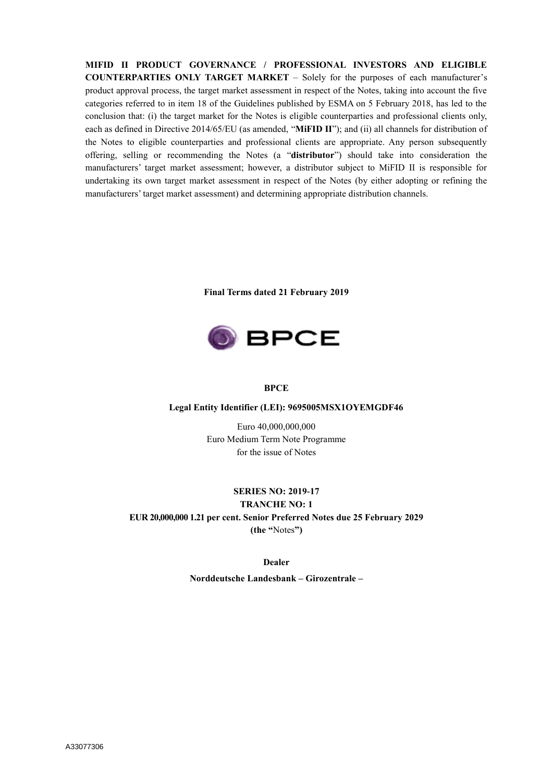**MIFID II PRODUCT GOVERNANCE / PROFESSIONAL INVESTORS AND ELIGIBLE COUNTERPARTIES ONLY TARGET MARKET** – Solely for the purposes of each manufacturer's product approval process, the target market assessment in respect of the Notes, taking into account the five categories referred to in item 18 of the Guidelines published by ESMA on 5 February 2018, has led to the conclusion that: (i) the target market for the Notes is eligible counterparties and professional clients only, each as defined in Directive 2014/65/EU (as amended, "**MiFID II**"); and (ii) all channels for distribution of the Notes to eligible counterparties and professional clients are appropriate. Any person subsequently offering, selling or recommending the Notes (a "**distributor**") should take into consideration the manufacturers' target market assessment; however, a distributor subject to MiFID II is responsible for undertaking its own target market assessment in respect of the Notes (by either adopting or refining the manufacturers' target market assessment) and determining appropriate distribution channels.

**Final Terms dated 21 February 2019**



### **BPCE**

#### **Legal Entity Identifier (LEI): 9695005MSX1OYEMGDF46**

Euro 40,000,000,000 Euro Medium Term Note Programme for the issue of Notes

## **SERIES NO: 2019-17 TRANCHE NO: 1**

# **EUR 20,000,000 1.21 per cent. Senior Preferred Notes due 25 February 2029**

**(the "**Notes**")**

#### **Dealer**

**Norddeutsche Landesbank – Girozentrale –**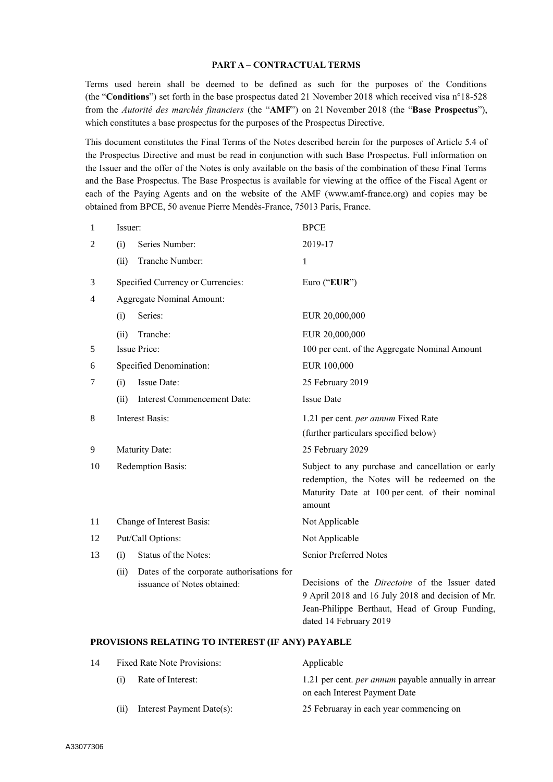### **PART A – CONTRACTUAL TERMS**

Terms used herein shall be deemed to be defined as such for the purposes of the Conditions (the "**Conditions**") set forth in the base prospectus dated 21 November 2018 which received visa n°18-528 from the *Autorité des marchés financiers* (the "**AMF**") on 21 November 2018 (the "**Base Prospectus**"), which constitutes a base prospectus for the purposes of the Prospectus Directive.

This document constitutes the Final Terms of the Notes described herein for the purposes of Article 5.4 of the Prospectus Directive and must be read in conjunction with such Base Prospectus. Full information on the Issuer and the offer of the Notes is only available on the basis of the combination of these Final Terms and the Base Prospectus. The Base Prospectus is available for viewing at the office of the Fiscal Agent or each of the Paying Agents and on the website of the AMF (www.amf-france.org) and copies may be obtained from BPCE, 50 avenue Pierre Mendès-France, 75013 Paris, France.

| 1  | Issuer:                          |                                                                          | <b>BPCE</b>                                                                                                                                                                             |
|----|----------------------------------|--------------------------------------------------------------------------|-----------------------------------------------------------------------------------------------------------------------------------------------------------------------------------------|
| 2  | (i)                              | Series Number:                                                           | 2019-17                                                                                                                                                                                 |
|    | (ii)                             | Tranche Number:                                                          | 1                                                                                                                                                                                       |
| 3  |                                  | Specified Currency or Currencies:                                        | Euro ("EUR")                                                                                                                                                                            |
| 4  | <b>Aggregate Nominal Amount:</b> |                                                                          |                                                                                                                                                                                         |
|    | (i)                              | Series:                                                                  | EUR 20,000,000                                                                                                                                                                          |
|    | (ii)                             | Tranche:                                                                 | EUR 20,000,000                                                                                                                                                                          |
| 5  |                                  | <b>Issue Price:</b>                                                      | 100 per cent. of the Aggregate Nominal Amount                                                                                                                                           |
| 6  |                                  | Specified Denomination:                                                  | EUR 100,000                                                                                                                                                                             |
| 7  | (i)                              | Issue Date:                                                              | 25 February 2019                                                                                                                                                                        |
|    | (ii)                             | Interest Commencement Date:                                              | <b>Issue Date</b>                                                                                                                                                                       |
| 8  | <b>Interest Basis:</b>           |                                                                          | 1.21 per cent. per annum Fixed Rate                                                                                                                                                     |
|    |                                  |                                                                          | (further particulars specified below)                                                                                                                                                   |
| 9  |                                  | Maturity Date:                                                           | 25 February 2029                                                                                                                                                                        |
| 10 |                                  | Redemption Basis:                                                        | Subject to any purchase and cancellation or early<br>redemption, the Notes will be redeemed on the<br>Maturity Date at 100 per cent. of their nominal<br>amount                         |
| 11 |                                  | Change of Interest Basis:                                                | Not Applicable                                                                                                                                                                          |
| 12 |                                  | Put/Call Options:                                                        | Not Applicable                                                                                                                                                                          |
| 13 | (i)                              | Status of the Notes:                                                     | Senior Preferred Notes                                                                                                                                                                  |
|    | (ii)                             | Dates of the corporate authorisations for<br>issuance of Notes obtained: | Decisions of the <i>Directoire</i> of the Issuer dated<br>9 April 2018 and 16 July 2018 and decision of Mr.<br>Jean-Philippe Berthaut, Head of Group Funding,<br>dated 14 February 2019 |

#### **PROVISIONS RELATING TO INTEREST (IF ANY) PAYABLE**

| 14 | Fixed Rate Note Provisions: |                           | Applicable                                                 |
|----|-----------------------------|---------------------------|------------------------------------------------------------|
|    | (i)                         | Rate of Interest:         | 1.21 per cent. <i>per annum</i> payable annually in arrear |
|    |                             |                           | on each Interest Payment Date                              |
|    | (i)                         | Interest Payment Date(s): | 25 Februaray in each year commencing on                    |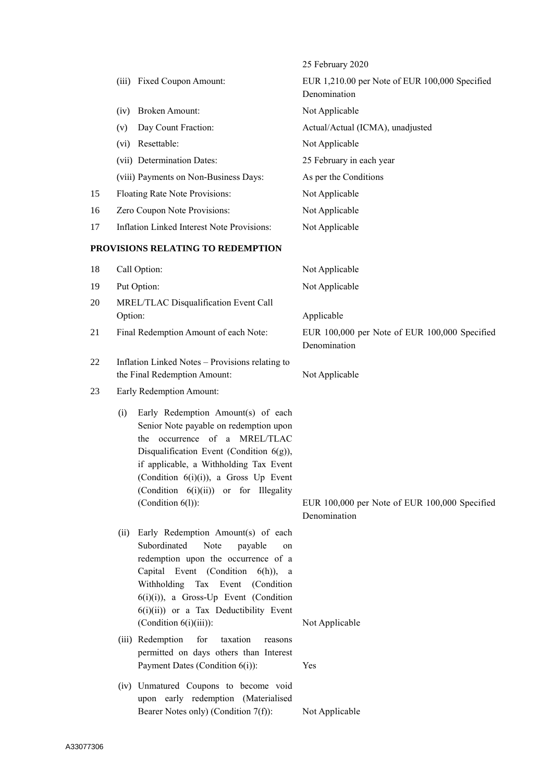|    |                                                                                                                                                                                                                                                                                                                           | 25 February 2020                                               |
|----|---------------------------------------------------------------------------------------------------------------------------------------------------------------------------------------------------------------------------------------------------------------------------------------------------------------------------|----------------------------------------------------------------|
|    | (iii) Fixed Coupon Amount:                                                                                                                                                                                                                                                                                                | EUR 1,210.00 per Note of EUR 100,000 Specified<br>Denomination |
|    | (iv) Broken Amount:                                                                                                                                                                                                                                                                                                       | Not Applicable                                                 |
|    | Day Count Fraction:<br>(v)                                                                                                                                                                                                                                                                                                | Actual/Actual (ICMA), unadjusted                               |
|    | (vi) Resettable:                                                                                                                                                                                                                                                                                                          | Not Applicable                                                 |
|    | (vii) Determination Dates:                                                                                                                                                                                                                                                                                                | 25 February in each year                                       |
|    | (viii) Payments on Non-Business Days:                                                                                                                                                                                                                                                                                     | As per the Conditions                                          |
| 15 | Floating Rate Note Provisions:                                                                                                                                                                                                                                                                                            | Not Applicable                                                 |
| 16 | Zero Coupon Note Provisions:                                                                                                                                                                                                                                                                                              | Not Applicable                                                 |
| 17 | <b>Inflation Linked Interest Note Provisions:</b>                                                                                                                                                                                                                                                                         | Not Applicable                                                 |
|    | PROVISIONS RELATING TO REDEMPTION                                                                                                                                                                                                                                                                                         |                                                                |
| 18 | Call Option:                                                                                                                                                                                                                                                                                                              | Not Applicable                                                 |
| 19 | Put Option:                                                                                                                                                                                                                                                                                                               | Not Applicable                                                 |
| 20 | MREL/TLAC Disqualification Event Call                                                                                                                                                                                                                                                                                     |                                                                |
|    | Option:                                                                                                                                                                                                                                                                                                                   | Applicable                                                     |
| 21 | Final Redemption Amount of each Note:                                                                                                                                                                                                                                                                                     | EUR 100,000 per Note of EUR 100,000 Specified<br>Denomination  |
| 22 | Inflation Linked Notes - Provisions relating to<br>the Final Redemption Amount:                                                                                                                                                                                                                                           | Not Applicable                                                 |
| 23 | Early Redemption Amount:                                                                                                                                                                                                                                                                                                  |                                                                |
|    | Early Redemption Amount(s) of each<br>(i)<br>Senior Note payable on redemption upon<br>the occurrence of a MREL/TLAC<br>Disqualification Event (Condition $6(g)$ ),<br>if applicable, a Withholding Tax Event<br>(Condition 6(i)(i)), a Gross Up Event<br>(Condition 6(i)(ii)) or for Illegality<br>(Condition 6(1)):     | EUR 100,000 per Note of EUR 100,000 Specified<br>Denomination  |
|    | Early Redemption Amount(s) of each<br>(ii)<br>Subordinated<br>Note<br>payable<br>on<br>redemption upon the occurrence of a<br>Capital Event (Condition 6(h)), a<br>Withholding<br>Tax Event (Condition<br>$6(i)(i)$ , a Gross-Up Event (Condition<br>$6(i)(ii)$ or a Tax Deductibility Event<br>(Condition $6(i)(iii)$ ): | Not Applicable                                                 |
|    | (iii) Redemption<br>for<br>taxation<br>reasons                                                                                                                                                                                                                                                                            |                                                                |
|    | permitted on days others than Interest<br>Payment Dates (Condition 6(i)):                                                                                                                                                                                                                                                 | Yes                                                            |
|    | (iv) Unmatured Coupons to become void<br>upon early redemption (Materialised<br>Bearer Notes only) (Condition 7(f)):                                                                                                                                                                                                      | Not Applicable                                                 |
|    |                                                                                                                                                                                                                                                                                                                           |                                                                |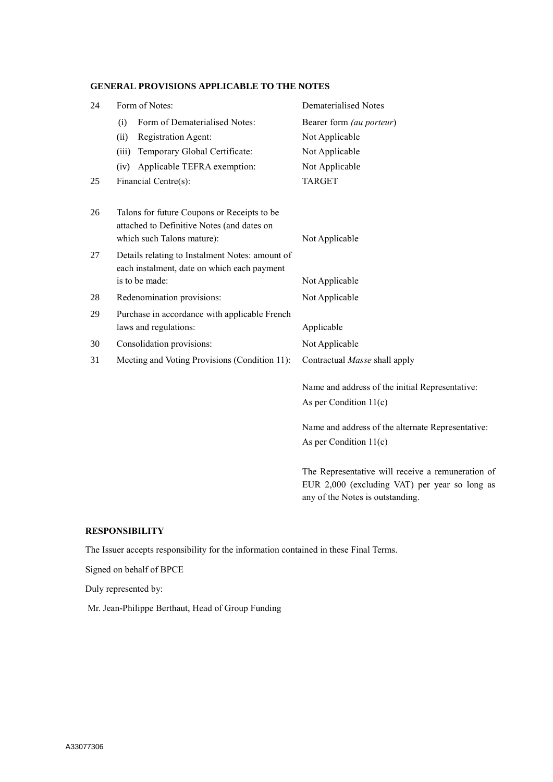# **GENERAL PROVISIONS APPLICABLE TO THE NOTES**

| 24 | Form of Notes:                                                                                                          | <b>Dematerialised Notes</b>                                                                        |
|----|-------------------------------------------------------------------------------------------------------------------------|----------------------------------------------------------------------------------------------------|
|    | Form of Dematerialised Notes:<br>(i)                                                                                    | Bearer form (au porteur)                                                                           |
|    | Registration Agent:<br>(ii)                                                                                             | Not Applicable                                                                                     |
|    | Temporary Global Certificate:<br>(iii)                                                                                  | Not Applicable                                                                                     |
|    | Applicable TEFRA exemption:<br>(iv)                                                                                     | Not Applicable                                                                                     |
| 25 | Financial Centre(s):                                                                                                    | <b>TARGET</b>                                                                                      |
| 26 | Talons for future Coupons or Receipts to be<br>attached to Definitive Notes (and dates on<br>which such Talons mature): | Not Applicable                                                                                     |
| 27 | Details relating to Instalment Notes: amount of<br>each instalment, date on which each payment                          |                                                                                                    |
|    | is to be made:                                                                                                          | Not Applicable                                                                                     |
| 28 | Redenomination provisions:                                                                                              | Not Applicable                                                                                     |
| 29 | Purchase in accordance with applicable French                                                                           |                                                                                                    |
|    | laws and regulations:                                                                                                   | Applicable                                                                                         |
| 30 | Consolidation provisions:                                                                                               | Not Applicable                                                                                     |
| 31 | Meeting and Voting Provisions (Condition 11):                                                                           | Contractual Masse shall apply                                                                      |
|    |                                                                                                                         | Name and address of the initial Representative:                                                    |
|    |                                                                                                                         | As per Condition $11(c)$                                                                           |
|    |                                                                                                                         | Name and address of the alternate Representative:                                                  |
|    |                                                                                                                         | As per Condition $11(c)$                                                                           |
|    |                                                                                                                         | The Representative will receive a remuneration of<br>EUR 2,000 (excluding VAT) per year so long as |

any of the Notes is outstanding.

# **RESPONSIBILITY**

The Issuer accepts responsibility for the information contained in these Final Terms.

Signed on behalf of BPCE

Duly represented by:

Mr. Jean-Philippe Berthaut, Head of Group Funding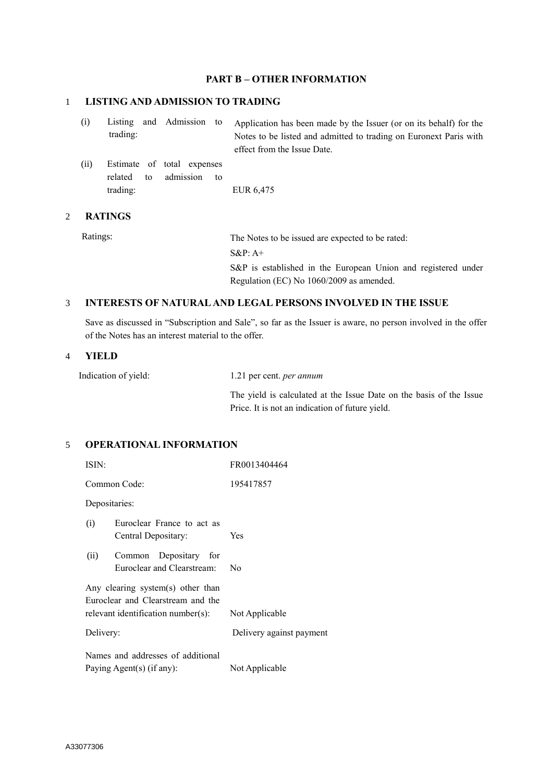# **PART B – OTHER INFORMATION**

## 1 **LISTING AND ADMISSION TO TRADING**

(i) Listing and Admission to trading: Application has been made by the Issuer (or on its behalf) for the Notes to be listed and admitted to trading on Euronext Paris with effect from the Issue Date.

(ii) Estimate of total expenses related to admission to trading: EUR 6,475

### 2 **RATINGS**

Ratings: The Notes to be issued are expected to be rated: S&P: A+

S&P is established in the European Union and registered under Regulation (EC) No 1060/2009 as amended.

### 3 **INTERESTS OF NATURAL AND LEGAL PERSONS INVOLVED IN THE ISSUE**

Save as discussed in "Subscription and Sale", so far as the Issuer is aware, no person involved in the offer of the Notes has an interest material to the offer.

## 4 **YIELD**

| Indication of yield: | 1.21 per cent. <i>per annum</i> |  |  |
|----------------------|---------------------------------|--|--|
|                      |                                 |  |  |

The yield is calculated at the Issue Date on the basis of the Issue Price. It is not an indication of future yield.

# 5 **OPERATIONAL INFORMATION**

| ISIN:                                                                  | FR0013404464             |
|------------------------------------------------------------------------|--------------------------|
| Common Code:                                                           | 195417857                |
| Depositaries:                                                          |                          |
| Euroclear France to act as<br>(i)<br>Central Depositary:               | Yes                      |
| (ii)<br>Common Depositary for<br>Euroclear and Clearstream:            | No                       |
| Any clearing system(s) other than<br>Euroclear and Clearstream and the |                          |
| $relevant$ identification number $(s)$ :                               | Not Applicable           |
| Delivery:                                                              | Delivery against payment |
| Names and addresses of additional                                      |                          |
| Paying Agent(s) (if any):                                              | Not Applicable           |